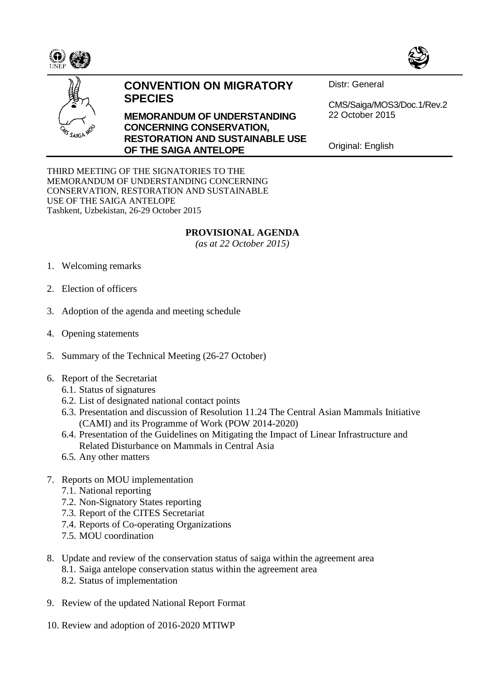





## **CONVENTION ON MIGRATORY SPECIES**

**MEMORANDUM OF UNDERSTANDING CONCERNING CONSERVATION, RESTORATION AND SUSTAINABLE USE OF THE SAIGA ANTELOPE**

Distr: General

CMS/Saiga/MOS3/Doc.1/Rev.2 22 October 2015

Original: English

THIRD MEETING OF THE SIGNATORIES TO THE MEMORANDUM OF UNDERSTANDING CONCERNING CONSERVATION, RESTORATION AND SUSTAINABLE USE OF THE SAIGA ANTELOPE Tashkent, Uzbekistan, 26-29 October 2015

## **PROVISIONAL AGENDA**

*(as at 22 October 2015)*

- 1. Welcoming remarks
- 2. Election of officers
- 3. Adoption of the agenda and meeting schedule
- 4. Opening statements
- 5. Summary of the Technical Meeting (26-27 October)
- 6. Report of the Secretariat
	- 6.1. Status of signatures
	- 6.2. List of designated national contact points
	- 6.3. Presentation and discussion of Resolution 11.24 The Central Asian Mammals Initiative (CAMI) and its Programme of Work (POW 2014-2020)
	- 6.4. Presentation of the Guidelines on Mitigating the Impact of Linear Infrastructure and Related Disturbance on Mammals in Central Asia
	- 6.5. Any other matters
- 7. Reports on MOU implementation
	- 7.1. National reporting
	- 7.2. Non-Signatory States reporting
	- 7.3. Report of the CITES Secretariat
	- 7.4. Reports of Co-operating Organizations
	- 7.5. MOU coordination
- 8. Update and review of the conservation status of saiga within the agreement area
	- 8.1. Saiga antelope conservation status within the agreement area
	- 8.2. Status of implementation
- 9. Review of the updated National Report Format
- 10. Review and adoption of 2016-2020 MTIWP